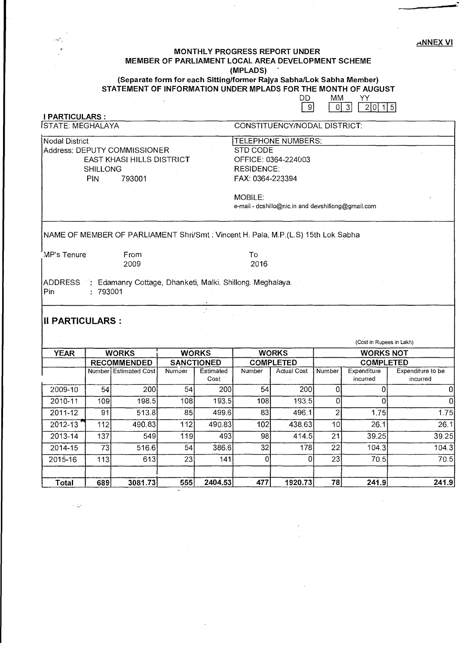",NNEX VI

**-**

#### MONTHLY PROGRESS REPORT UNDER MEMBER OF PARLIAMENT LOCAL AREA DEVELOPMENT SCHEME (MPLADS)

### (Separate form for each Sitting/former Rajya Sabha/Lok Sabha Member) STATEMENT OF INFORMATION UNDER MPLADS FOR THE MONTH OF AUGUST

 $\begin{array}{|c|c|c|c|c|}\n\hline\n\text{DD} & \text{MM} & \text{YY} \\
\hline\n\text{9} & \text{0} & \text{3} & \text{2}\n\end{array}$  $|0|3|$   $|2|0|15|$ **I PARTICULARS :**<br>STATE: MEGHALAYA CONSTITUENCY/NODAL DISTRICT: Nodal District<br>
Address: DEPUTY COMMISSIONER<br>
Address: DEPUTY COMMISSIONER<br>
TELEPHONE Address: DEPUTY COMMISSIONER<br>EAST KHASI HILLS DISTRICT COPFICE: 0364-224003 **EAST KHASI HILLS DISTRICT** SHILLONG RESIDENCE: PIN 793001 FAX: 0364-223394 MOBILE: e-mail - dcshillo@nic.in and devshillong@gmail.com NAME OF MEMBER OF PARLIAMENT Shri/Smt: Vincent H. Pala, M.P.(L.S) 15th Lok Sabha : MP's Tenure From To To To To 2009<br>2009 2016 2009 2016 ADDRESS : Edamanry Cottage, Dhanketi, Malki. Shillong. Meghalaya. Pin : 793001 **II PARTICULARS:**  (Cost in Rupees in Lakh) YEAR WORKS WORKS WORKS WORKS NOT RECOMMENDED SANCTIONED COMPLETED COMPLETED<br>Number Estimated Cost Number Estimated Number Actual Cost Number Expenditure Expenditure to be Number Estimated Cost Number Estimated Number Actual Cost Number Expenditure Expenditure Cost Cost Number Cost Cost incurred incurred incurred incurred 2009-10 54 200 54 200 54 200 0 0 0 2010-11 | 109| 198.5| 108| 193.5| 108| 193.5| 0| 0| 2011-12 | 91| 513.8| 85| 499.6| 83| 496.1| 2| 1.75| 1.75| 2012-13 112 490.83 112 490.83 102 438.63 10 26.1 26.1 2013-14 | 137| 549| 119| 493| 98| 414.5| 21| 39.25| 39.25 2014-15 | 73| 516.6| 54| 386.6| 32| 178| 22| 104.3| 104.3| 2015-16 | 113| 613| 23| 141| 0| 21| 70.5| 70.5

, Total 689 3081.73 555 2404.53 477 1920.73 78 241.9 241.9

人工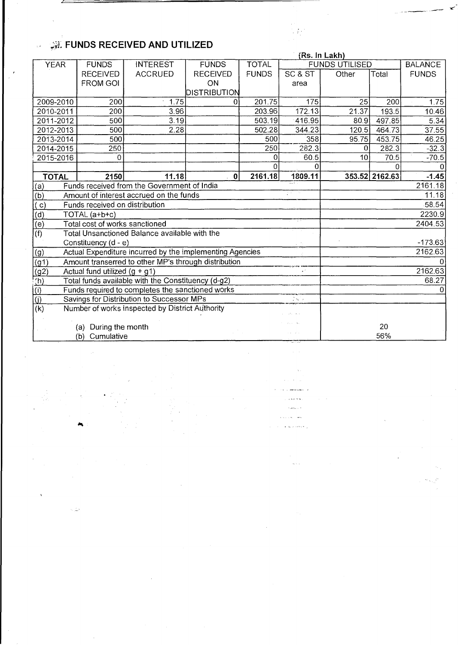# ~:;t **FUNDS RECEIVED AND UTILIZED**

 $\bar{\bar{}}$ 

 $\sim 10^6$ 

|                                     |                                                             |                                                          |                 |              | (Rs. In Lakh) |                       |                |              |  |
|-------------------------------------|-------------------------------------------------------------|----------------------------------------------------------|-----------------|--------------|---------------|-----------------------|----------------|--------------|--|
| <b>YEAR</b>                         | <b>FUNDS</b>                                                | <b>INTEREST</b>                                          | <b>FUNDS</b>    | <b>TOTAL</b> |               | <b>FUNDS UTILISED</b> | <b>BALANCE</b> |              |  |
|                                     | <b>RECEIVED</b>                                             | <b>ACCRUED</b>                                           | <b>RECEIVED</b> | <b>FUNDS</b> | SC & ST       | Other                 | Total          | <b>FUNDS</b> |  |
|                                     | <b>FROM GOI</b>                                             |                                                          | ON              |              | area          |                       |                |              |  |
|                                     |                                                             |                                                          | DISTRIBUTION    |              |               |                       |                |              |  |
| 2009-2010                           | 200                                                         | 1.75                                                     | 0               | 201.75       | 175           | 25                    | 200            | 1.75         |  |
| 2010-2011                           | 200                                                         | 3.96                                                     |                 | 203.96       | 172.13        | 21.37                 | 193.5          | 10.46        |  |
| 2011-2012                           | 500                                                         | 3.19                                                     |                 | 503.19       | 416.95        | 80.9                  | 497.85         | 5.34         |  |
| 2012-2013                           | 500                                                         | 2.28                                                     |                 | 502.28       | 344.23        | 120.5                 | 464.73         | 37.55        |  |
| 2013-2014                           | 500                                                         |                                                          |                 | 500          | 358           | 95.75                 | 453.75         | 46.25        |  |
| 2014-2015                           | 250                                                         |                                                          |                 | 250          | 282.3         | 0                     | 282.3          | $-32.3$      |  |
| 2015-2016                           | 0                                                           |                                                          |                 | 0            | 60.5          | 10 <sup>1</sup>       | 70.5           | $-70.5$      |  |
|                                     |                                                             |                                                          |                 | Ω            | 0             |                       |                |              |  |
| <b>TOTAL</b>                        | 2150                                                        | 11.18                                                    | $\mathbf 0$     | 2161.18      | 1809.11       |                       | 353.52 2162.63 | $-1.45$      |  |
| (a)                                 | Funds received from the Government of India                 |                                                          |                 |              |               |                       |                | 2161.18      |  |
| (b)                                 | D.<br>Amount of interest accrued on the funds               |                                                          |                 |              |               |                       | 11.18          |              |  |
|                                     | Funds received on distribution                              |                                                          |                 |              |               |                       | 58.54          |              |  |
|                                     | TOTAL (a+b+c)                                               |                                                          |                 |              |               | 2230.9                |                |              |  |
|                                     | Total cost of works sanctioned                              |                                                          |                 |              |               |                       |                | 2404.53      |  |
| $\frac{\partial}{\partial t}$       | Total Unsanctioned Balance available with the               |                                                          |                 |              |               |                       |                |              |  |
|                                     | Constituency (d - e)                                        |                                                          |                 |              |               |                       |                | $-173.63$    |  |
| (g)                                 |                                                             | Actual Expenditure incurred by the implementing Agencies |                 |              |               |                       |                | 2162.63      |  |
| $\left(91\right)$                   |                                                             | Amount transerred to other MP's through distribution     |                 |              |               |                       |                |              |  |
| $\frac{q^{2}}{q^{2}}$               | Actual fund utilized $(g + g1)$                             |                                                          |                 |              |               |                       |                | 2162.63      |  |
|                                     | Total funds available with the Constituency (d-g2)          |                                                          |                 |              |               |                       |                | 68.27        |  |
|                                     | Funds required to completes the sanctioned works<br>0       |                                                          |                 |              |               |                       |                |              |  |
| $\frac{\overline{1}}{\overline{1}}$ | Savings for Distribution to Successor MPs<br>$\sim 10^{-1}$ |                                                          |                 |              |               |                       |                |              |  |
| $\vert$ (k)                         |                                                             | Number of works inspected by District Authority          |                 |              |               |                       |                |              |  |
|                                     |                                                             |                                                          |                 |              |               |                       |                |              |  |
|                                     | During the month<br>(a)                                     |                                                          |                 |              |               |                       | 20             |              |  |
|                                     | Cumulative<br>(b)                                           |                                                          |                 |              |               |                       | 56%            |              |  |
|                                     |                                                             |                                                          |                 |              |               |                       |                |              |  |

**Carl And**  $\omega_{\rm{max}}$  .  $\tau$ i, k  $\omega_{\rm{th}}$ a no suesta.

 $\zeta_{\rm{max}}$